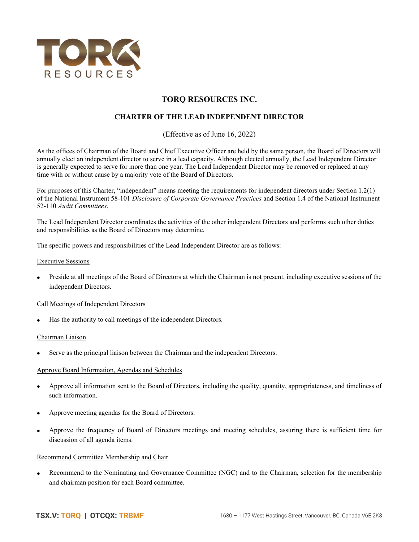

# TORQ RESOURCES INC.

## CHARTER OF THE LEAD INDEPENDENT DIRECTOR

(Effective as of June 16, 2022)

As the offices of Chairman of the Board and Chief Executive Officer are held by the same person, the Board of Directors will annually elect an independent director to serve in a lead capacity. Although elected annually, the Lead Independent Director is generally expected to serve for more than one year. The Lead Independent Director may be removed or replaced at any time with or without cause by a majority vote of the Board of Directors.

For purposes of this Charter, "independent" means meeting the requirements for independent directors under Section 1.2(1) of the National Instrument 58-101 Disclosure of Corporate Governance Practices and Section 1.4 of the National Instrument 52-110 Audit Committees.

The Lead Independent Director coordinates the activities of the other independent Directors and performs such other duties and responsibilities as the Board of Directors may determine.

The specific powers and responsibilities of the Lead Independent Director are as follows:

#### Executive Sessions

 Preside at all meetings of the Board of Directors at which the Chairman is not present, including executive sessions of the independent Directors.

## Call Meetings of Independent Directors

Has the authority to call meetings of the independent Directors.

## Chairman Liaison

Serve as the principal liaison between the Chairman and the independent Directors.

#### Approve Board Information, Agendas and Schedules

- Approve all information sent to the Board of Directors, including the quality, quantity, appropriateness, and timeliness of such information.
- Approve meeting agendas for the Board of Directors.
- Approve the frequency of Board of Directors meetings and meeting schedules, assuring there is sufficient time for discussion of all agenda items.

#### Recommend Committee Membership and Chair

 Recommend to the Nominating and Governance Committee (NGC) and to the Chairman, selection for the membership and chairman position for each Board committee.